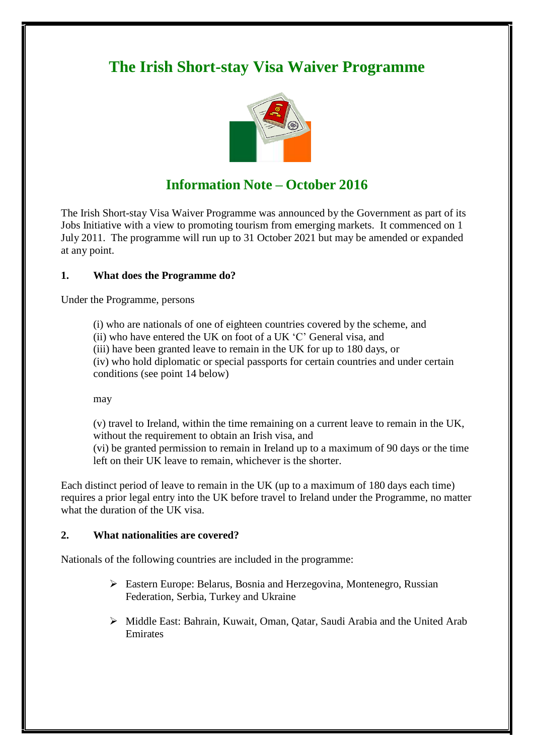# **The Irish Short-stay Visa Waiver Programme**



# **Information Note – October 2016**

The Irish Short-stay Visa Waiver Programme was announced by the Government as part of its Jobs Initiative with a view to promoting tourism from emerging markets. It commenced on 1 July 2011. The programme will run up to 31 October 2021 but may be amended or expanded at any point.

### **1. What does the Programme do?**

Under the Programme, persons

(i) who are nationals of one of eighteen countries covered by the scheme, and

(ii) who have entered the UK on foot of a UK 'C' General visa, and

(iii) have been granted leave to remain in the UK for up to 180 days, or

(iv) who hold diplomatic or special passports for certain countries and under certain conditions (see point 14 below)

may

(v) travel to Ireland, within the time remaining on a current leave to remain in the UK, without the requirement to obtain an Irish visa, and

(vi) be granted permission to remain in Ireland up to a maximum of 90 days or the time left on their UK leave to remain, whichever is the shorter.

Each distinct period of leave to remain in the UK (up to a maximum of 180 days each time) requires a prior legal entry into the UK before travel to Ireland under the Programme, no matter what the duration of the UK visa.

#### **2. What nationalities are covered?**

Nationals of the following countries are included in the programme:

- Eastern Europe: Belarus, Bosnia and Herzegovina, Montenegro, Russian Federation, Serbia, Turkey and Ukraine
- Middle East: Bahrain, Kuwait, Oman, Qatar, Saudi Arabia and the United Arab Emirates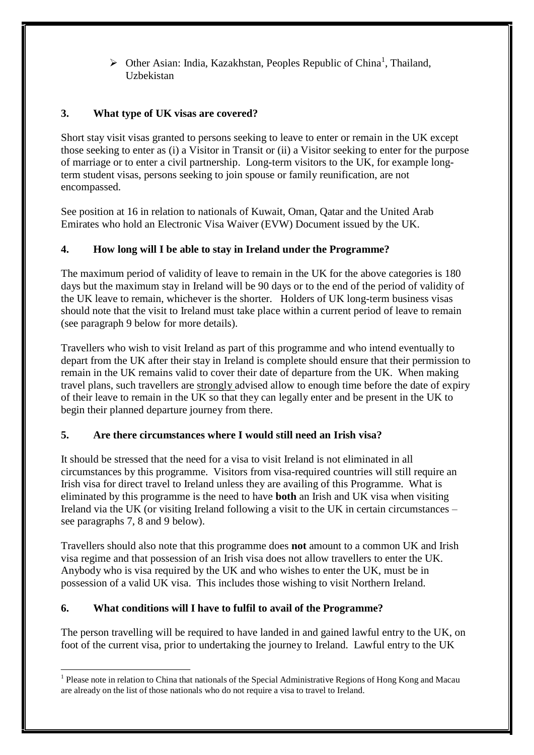$\triangleright$  Other Asian: India, Kazakhstan, Peoples Republic of China<sup>1</sup>, Thailand, Uzbekistan

## **3. What type of UK visas are covered?**

Short stay visit visas granted to persons seeking to leave to enter or remain in the UK except those seeking to enter as (i) a Visitor in Transit or (ii) a Visitor seeking to enter for the purpose of marriage or to enter a civil partnership. Long-term visitors to the UK, for example longterm student visas, persons seeking to join spouse or family reunification, are not encompassed.

See position at 16 in relation to nationals of Kuwait, Oman, Qatar and the United Arab Emirates who hold an Electronic Visa Waiver (EVW) Document issued by the UK.

## **4. How long will I be able to stay in Ireland under the Programme?**

The maximum period of validity of leave to remain in the UK for the above categories is 180 days but the maximum stay in Ireland will be 90 days or to the end of the period of validity of the UK leave to remain, whichever is the shorter. Holders of UK long-term business visas should note that the visit to Ireland must take place within a current period of leave to remain (see paragraph 9 below for more details).

Travellers who wish to visit Ireland as part of this programme and who intend eventually to depart from the UK after their stay in Ireland is complete should ensure that their permission to remain in the UK remains valid to cover their date of departure from the UK. When making travel plans, such travellers are strongly advised allow to enough time before the date of expiry of their leave to remain in the UK so that they can legally enter and be present in the UK to begin their planned departure journey from there.

## **5. Are there circumstances where I would still need an Irish visa?**

It should be stressed that the need for a visa to visit Ireland is not eliminated in all circumstances by this programme. Visitors from visa-required countries will still require an Irish visa for direct travel to Ireland unless they are availing of this Programme. What is eliminated by this programme is the need to have **both** an Irish and UK visa when visiting Ireland via the UK (or visiting Ireland following a visit to the UK in certain circumstances – see paragraphs 7, 8 and 9 below).

Travellers should also note that this programme does **not** amount to a common UK and Irish visa regime and that possession of an Irish visa does not allow travellers to enter the UK. Anybody who is visa required by the UK and who wishes to enter the UK, must be in possession of a valid UK visa. This includes those wishing to visit Northern Ireland.

## **6. What conditions will I have to fulfil to avail of the Programme?**

The person travelling will be required to have landed in and gained lawful entry to the UK, on foot of the current visa, prior to undertaking the journey to Ireland. Lawful entry to the UK

<sup>&</sup>lt;sup>1</sup> Please note in relation to China that nationals of the Special Administrative Regions of Hong Kong and Macau are already on the list of those nationals who do not require a visa to travel to Ireland.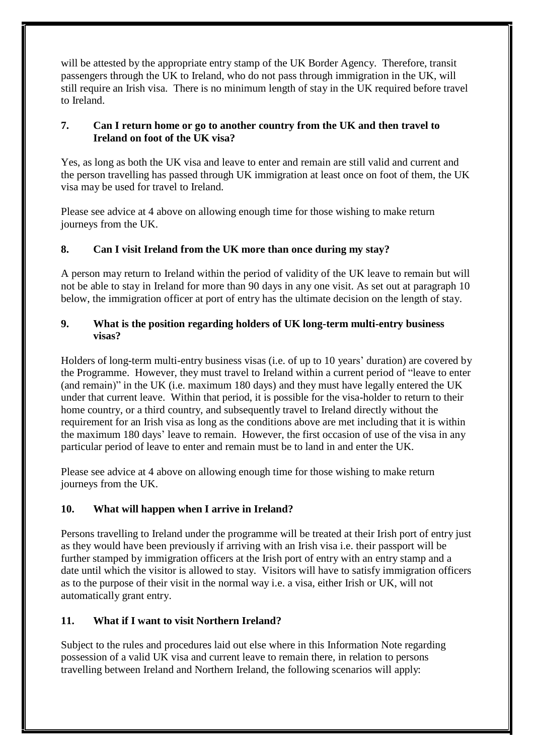will be attested by the appropriate entry stamp of the UK Border Agency. Therefore, transit passengers through the UK to Ireland, who do not pass through immigration in the UK, will still require an Irish visa. There is no minimum length of stay in the UK required before travel to Ireland.

### **7. Can I return home or go to another country from the UK and then travel to Ireland on foot of the UK visa?**

Yes, as long as both the UK visa and leave to enter and remain are still valid and current and the person travelling has passed through UK immigration at least once on foot of them, the UK visa may be used for travel to Ireland.

Please see advice at 4 above on allowing enough time for those wishing to make return journeys from the UK.

### **8. Can I visit Ireland from the UK more than once during my stay?**

A person may return to Ireland within the period of validity of the UK leave to remain but will not be able to stay in Ireland for more than 90 days in any one visit. As set out at paragraph 10 below, the immigration officer at port of entry has the ultimate decision on the length of stay.

#### **9. What is the position regarding holders of UK long-term multi-entry business visas?**

Holders of long-term multi-entry business visas (i.e. of up to 10 years' duration) are covered by the Programme. However, they must travel to Ireland within a current period of "leave to enter (and remain)" in the UK (i.e. maximum 180 days) and they must have legally entered the UK under that current leave. Within that period, it is possible for the visa-holder to return to their home country, or a third country, and subsequently travel to Ireland directly without the requirement for an Irish visa as long as the conditions above are met including that it is within the maximum 180 days' leave to remain. However, the first occasion of use of the visa in any particular period of leave to enter and remain must be to land in and enter the UK.

Please see advice at 4 above on allowing enough time for those wishing to make return journeys from the UK.

## **10. What will happen when I arrive in Ireland?**

Persons travelling to Ireland under the programme will be treated at their Irish port of entry just as they would have been previously if arriving with an Irish visa i.e. their passport will be further stamped by immigration officers at the Irish port of entry with an entry stamp and a date until which the visitor is allowed to stay. Visitors will have to satisfy immigration officers as to the purpose of their visit in the normal way i.e. a visa, either Irish or UK, will not automatically grant entry.

## **11. What if I want to visit Northern Ireland?**

Subject to the rules and procedures laid out else where in this Information Note regarding possession of a valid UK visa and current leave to remain there, in relation to persons travelling between Ireland and Northern Ireland, the following scenarios will apply: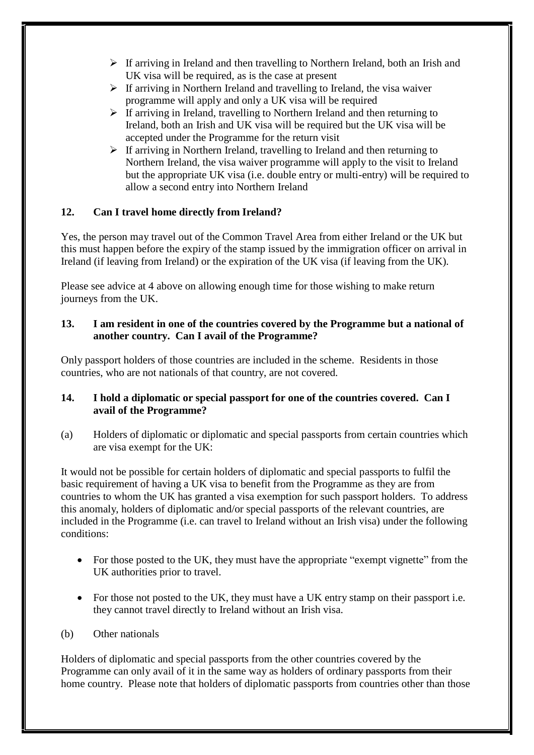- $\triangleright$  If arriving in Ireland and then travelling to Northern Ireland, both an Irish and UK visa will be required, as is the case at present
- $\triangleright$  If arriving in Northern Ireland and travelling to Ireland, the visa waiver programme will apply and only a UK visa will be required
- $\triangleright$  If arriving in Ireland, travelling to Northern Ireland and then returning to Ireland, both an Irish and UK visa will be required but the UK visa will be accepted under the Programme for the return visit
- $\triangleright$  If arriving in Northern Ireland, travelling to Ireland and then returning to Northern Ireland, the visa waiver programme will apply to the visit to Ireland but the appropriate UK visa (i.e. double entry or multi-entry) will be required to allow a second entry into Northern Ireland

### **12. Can I travel home directly from Ireland?**

Yes, the person may travel out of the Common Travel Area from either Ireland or the UK but this must happen before the expiry of the stamp issued by the immigration officer on arrival in Ireland (if leaving from Ireland) or the expiration of the UK visa (if leaving from the UK).

Please see advice at 4 above on allowing enough time for those wishing to make return journeys from the UK.

#### **13. I am resident in one of the countries covered by the Programme but a national of another country. Can I avail of the Programme?**

Only passport holders of those countries are included in the scheme. Residents in those countries, who are not nationals of that country, are not covered.

#### **14. I hold a diplomatic or special passport for one of the countries covered. Can I avail of the Programme?**

(a) Holders of diplomatic or diplomatic and special passports from certain countries which are visa exempt for the UK:

It would not be possible for certain holders of diplomatic and special passports to fulfil the basic requirement of having a UK visa to benefit from the Programme as they are from countries to whom the UK has granted a visa exemption for such passport holders. To address this anomaly, holders of diplomatic and/or special passports of the relevant countries, are included in the Programme (i.e. can travel to Ireland without an Irish visa) under the following conditions:

- For those posted to the UK, they must have the appropriate "exempt vignette" from the UK authorities prior to travel.
- For those not posted to the UK, they must have a UK entry stamp on their passport i.e. they cannot travel directly to Ireland without an Irish visa.

#### (b) Other nationals

Holders of diplomatic and special passports from the other countries covered by the Programme can only avail of it in the same way as holders of ordinary passports from their home country. Please note that holders of diplomatic passports from countries other than those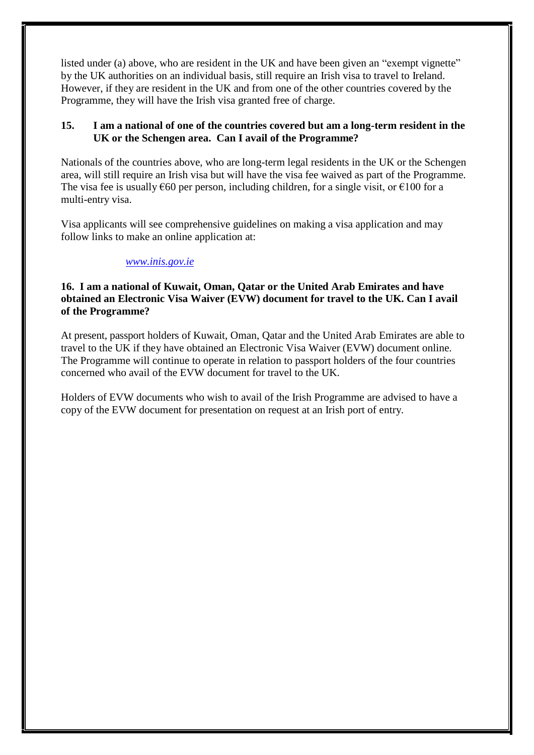listed under (a) above, who are resident in the UK and have been given an "exempt vignette" by the UK authorities on an individual basis, still require an Irish visa to travel to Ireland. However, if they are resident in the UK and from one of the other countries covered by the Programme, they will have the Irish visa granted free of charge.

#### **15. I am a national of one of the countries covered but am a long-term resident in the UK or the Schengen area. Can I avail of the Programme?**

Nationals of the countries above, who are long-term legal residents in the UK or the Schengen area, will still require an Irish visa but will have the visa fee waived as part of the Programme. The visa fee is usually  $\epsilon$ 60 per person, including children, for a single visit, or  $\epsilon$ 100 for a multi-entry visa.

Visa applicants will see comprehensive guidelines on making a visa application and may follow links to make an online application at:

#### *[www.inis.gov.ie](http://www.inis.gov.ie/)*

#### **16. I am a national of Kuwait, Oman, Qatar or the United Arab Emirates and have obtained an Electronic Visa Waiver (EVW) document for travel to the UK. Can I avail of the Programme?**

At present, passport holders of Kuwait, Oman, Qatar and the United Arab Emirates are able to travel to the UK if they have obtained an Electronic Visa Waiver (EVW) document online. The Programme will continue to operate in relation to passport holders of the four countries concerned who avail of the EVW document for travel to the UK.

Holders of EVW documents who wish to avail of the Irish Programme are advised to have a copy of the EVW document for presentation on request at an Irish port of entry.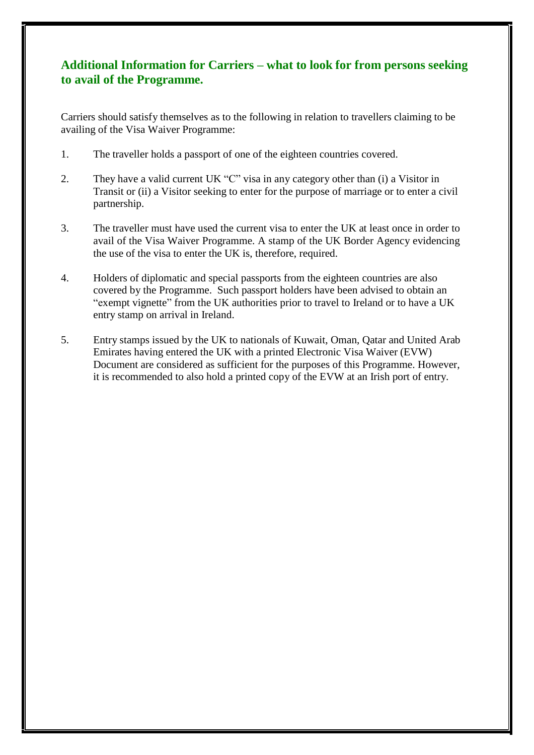## **Additional Information for Carriers – what to look for from persons seeking to avail of the Programme.**

Carriers should satisfy themselves as to the following in relation to travellers claiming to be availing of the Visa Waiver Programme:

- 1. The traveller holds a passport of one of the eighteen countries covered.
- 2. They have a valid current UK "C" visa in any category other than (i) a Visitor in Transit or (ii) a Visitor seeking to enter for the purpose of marriage or to enter a civil partnership.
- 3. The traveller must have used the current visa to enter the UK at least once in order to avail of the Visa Waiver Programme. A stamp of the UK Border Agency evidencing the use of the visa to enter the UK is, therefore, required.
- 4. Holders of diplomatic and special passports from the eighteen countries are also covered by the Programme. Such passport holders have been advised to obtain an "exempt vignette" from the UK authorities prior to travel to Ireland or to have a UK entry stamp on arrival in Ireland.
- 5. Entry stamps issued by the UK to nationals of Kuwait, Oman, Qatar and United Arab Emirates having entered the UK with a printed Electronic Visa Waiver (EVW) Document are considered as sufficient for the purposes of this Programme. However, it is recommended to also hold a printed copy of the EVW at an Irish port of entry.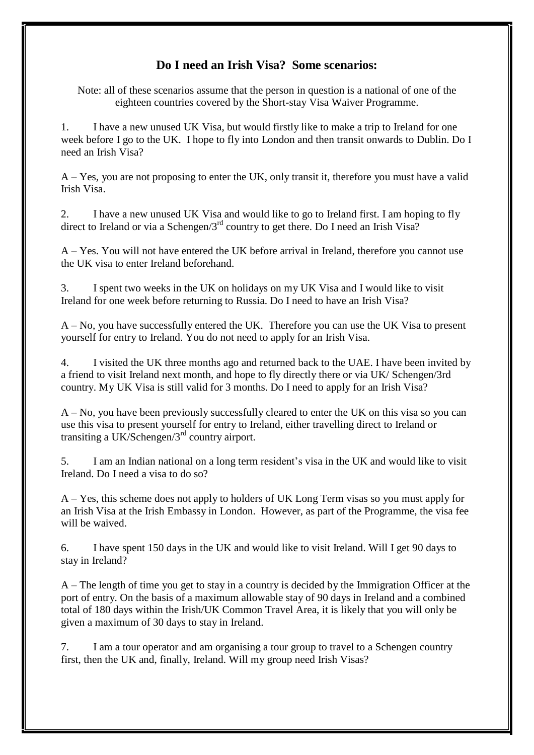## **Do I need an Irish Visa? Some scenarios:**

Note: all of these scenarios assume that the person in question is a national of one of the eighteen countries covered by the Short-stay Visa Waiver Programme.

1. I have a new unused UK Visa, but would firstly like to make a trip to Ireland for one week before I go to the UK. I hope to fly into London and then transit onwards to Dublin. Do I need an Irish Visa?

A – Yes, you are not proposing to enter the UK, only transit it, therefore you must have a valid Irish Visa.

2. I have a new unused UK Visa and would like to go to Ireland first. I am hoping to fly direct to Ireland or via a Schengen/ $3<sup>rd</sup>$  country to get there. Do I need an Irish Visa?

A – Yes. You will not have entered the UK before arrival in Ireland, therefore you cannot use the UK visa to enter Ireland beforehand.

3. I spent two weeks in the UK on holidays on my UK Visa and I would like to visit Ireland for one week before returning to Russia. Do I need to have an Irish Visa?

A – No, you have successfully entered the UK. Therefore you can use the UK Visa to present yourself for entry to Ireland. You do not need to apply for an Irish Visa.

4. I visited the UK three months ago and returned back to the UAE. I have been invited by a friend to visit Ireland next month, and hope to fly directly there or via UK/ Schengen/3rd country. My UK Visa is still valid for 3 months. Do I need to apply for an Irish Visa?

A – No, you have been previously successfully cleared to enter the UK on this visa so you can use this visa to present yourself for entry to Ireland, either travelling direct to Ireland or transiting a UK/Schengen/ $3<sup>rd</sup>$  country airport.

5. I am an Indian national on a long term resident's visa in the UK and would like to visit Ireland. Do I need a visa to do so?

A – Yes, this scheme does not apply to holders of UK Long Term visas so you must apply for an Irish Visa at the Irish Embassy in London. However, as part of the Programme, the visa fee will be waived.

6. I have spent 150 days in the UK and would like to visit Ireland. Will I get 90 days to stay in Ireland?

A – The length of time you get to stay in a country is decided by the Immigration Officer at the port of entry. On the basis of a maximum allowable stay of 90 days in Ireland and a combined total of 180 days within the Irish/UK Common Travel Area, it is likely that you will only be given a maximum of 30 days to stay in Ireland.

7. I am a tour operator and am organising a tour group to travel to a Schengen country first, then the UK and, finally, Ireland. Will my group need Irish Visas?